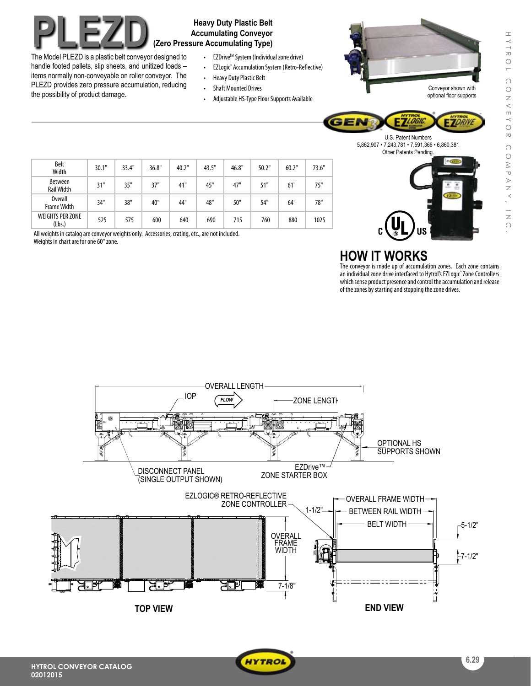# **PLEZOD Heavy Duty Plastic Belt**<br> **Accumulating Conveyor**<br> **EXP. In Model BLEZP is a selectic belt conveyed believed to a selection of the selection of the selection of the selection of the selection of the selection of** The Model PLEZD is a plastic belt conveyor designed to

the possibility of product damage.

handle footed pallets, slip sheets, and unitized loads – items normally non-conveyable on roller conveyor. The PLEZD provides zero pressure accumulation, reducing

**Accumulating Conveyor (Zero Pressure Accumulating Type)**

- EZDrive<sup>™</sup> System (Individual zone drive)
- • EZLogic® Accumulation System (Retro-Reflective)
- Heavy Duty Plastic Belt
- • Shaft Mounted Drives
- Adjustable HS-Type Floor Supports Available



optional floor supports

**EZDRIVA** 

U.S. Patent Numbers 5,862,907 • 7,243,781 • 7,591,366 • 6,860,381



| <b>Belt</b><br>Width                 | 30.1" | 33.4" | 36.8" | 40.2" | 43.5" | 46.8" | 50.2" | 60.2" | 73.6" |
|--------------------------------------|-------|-------|-------|-------|-------|-------|-------|-------|-------|
| <b>Between</b><br><b>Rail Width</b>  | 31"   | 35"   | 37"   | 41"   | 45"   | 47"   | 51"   | 61"   | 75"   |
| <b>Overall</b><br><b>Frame Width</b> | 34"   | 38"   | 40"   | 44"   | 48"   | 50"   | 54"   | 64"   | 78"   |
| <b>WEIGHTS PER ZONE</b><br>(Lbs.)    | 525   | 575   | 600   | 640   | 690   | 715   | 760   | 880   | 1025  |

All weights in catalog are conveyor weights only. Accessories, crating, etc., are not included. Weights in chart are for one 60" zone.

## **HOW IT WORKS**

GEN

The conveyor is made up of accumulation zones. Each zone contains an individual zone drive interfaced to Hytrol's EZLogic® Zone Controllers which sense product presence and control the accumulation and release of the zones by starting and stopping the zone drives.